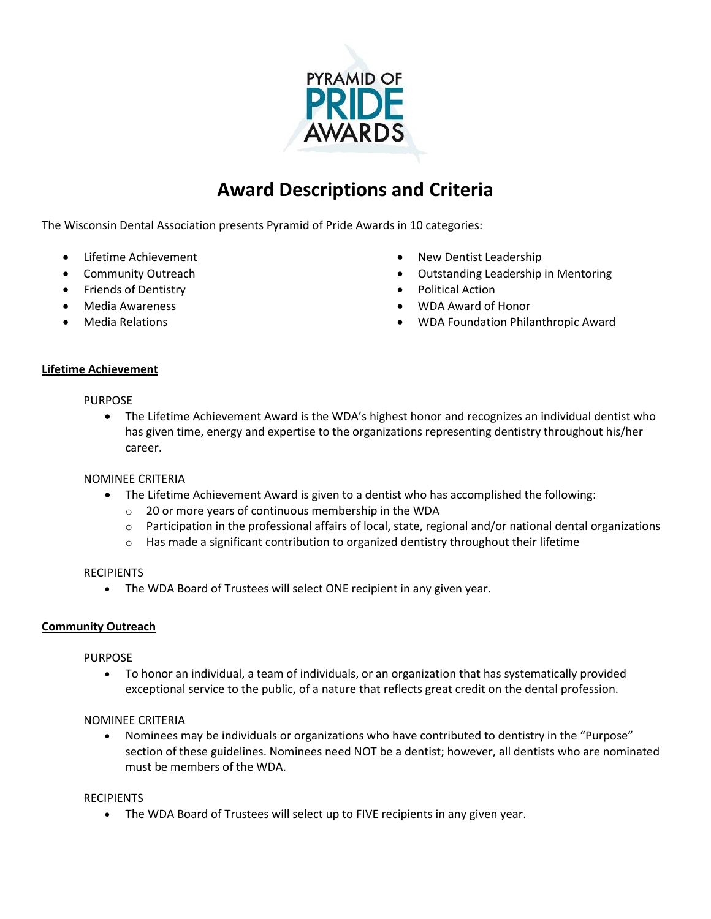

# **Award Descriptions and Criteria**

The Wisconsin Dental Association presents Pyramid of Pride Awards in 10 categories:

- Lifetime Achievement
- Community Outreach
- Friends of Dentistry
- Media Awareness
- Media Relations
- New Dentist Leadership
- Outstanding Leadership in Mentoring
- Political Action
- WDA Award of Honor
- WDA Foundation Philanthropic Award

#### **Lifetime Achievement**

#### PURPOSE

 The Lifetime Achievement Award is the WDA's highest honor and recognizes an individual dentist who has given time, energy and expertise to the organizations representing dentistry throughout his/her career.

## NOMINEE CRITERIA

- The Lifetime Achievement Award is given to a dentist who has accomplished the following:
	- o 20 or more years of continuous membership in the WDA
	- $\circ$  Participation in the professional affairs of local, state, regional and/or national dental organizations
	- $\circ$  Has made a significant contribution to organized dentistry throughout their lifetime

#### **RECIPIENTS**

• The WDA Board of Trustees will select ONE recipient in any given year.

## **Community Outreach**

## PURPOSE

 To honor an individual, a team of individuals, or an organization that has systematically provided exceptional service to the public, of a nature that reflects great credit on the dental profession.

## NOMINEE CRITERIA

 Nominees may be individuals or organizations who have contributed to dentistry in the "Purpose" section of these guidelines. Nominees need NOT be a dentist; however, all dentists who are nominated must be members of the WDA.

## RECIPIENTS

The WDA Board of Trustees will select up to FIVE recipients in any given year.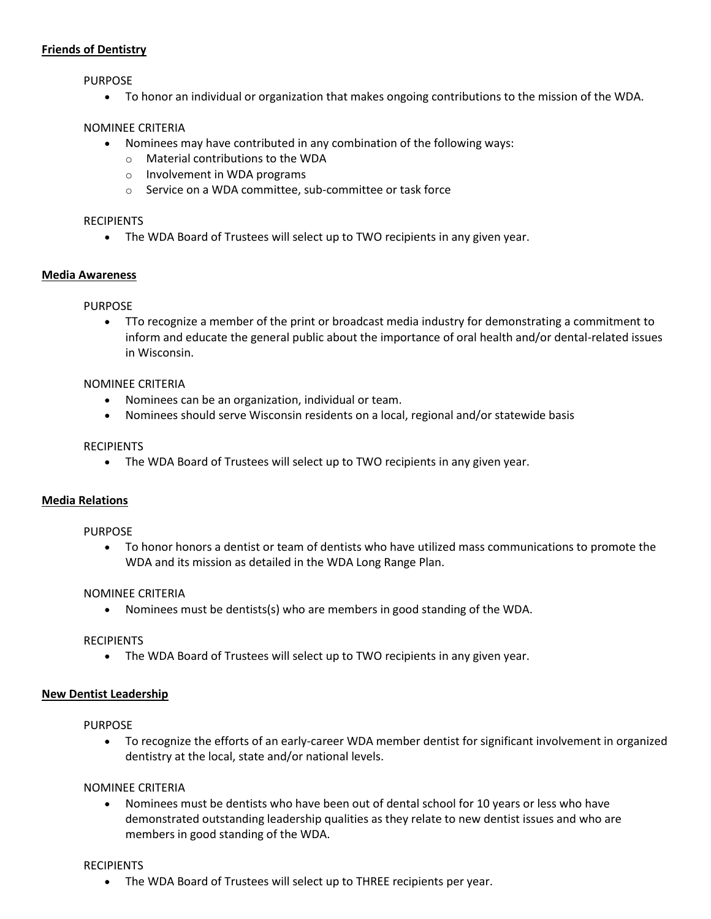## **Friends of Dentistry**

PURPOSE

To honor an individual or organization that makes ongoing contributions to the mission of the WDA.

## NOMINEE CRITERIA

- Nominees may have contributed in any combination of the following ways:
	- o Material contributions to the WDA
	- o Involvement in WDA programs
	- o Service on a WDA committee, sub-committee or task force

## RECIPIENTS

The WDA Board of Trustees will select up to TWO recipients in any given year.

## **Media Awareness**

PURPOSE

 TTo recognize a member of the print or broadcast media industry for demonstrating a commitment to inform and educate the general public about the importance of oral health and/or dental-related issues in Wisconsin.

## NOMINEE CRITERIA

- Nominees can be an organization, individual or team.
- Nominees should serve Wisconsin residents on a local, regional and/or statewide basis

#### RECIPIENTS

The WDA Board of Trustees will select up to TWO recipients in any given year.

## **Media Relations**

## PURPOSE

 To honor honors a dentist or team of dentists who have utilized mass communications to promote the WDA and its mission as detailed in the WDA Long Range Plan.

## NOMINEE CRITERIA

Nominees must be dentists(s) who are members in good standing of the WDA.

## RECIPIENTS

The WDA Board of Trustees will select up to TWO recipients in any given year.

## **New Dentist Leadership**

## PURPOSE

 To recognize the efforts of an early-career WDA member dentist for significant involvement in organized dentistry at the local, state and/or national levels.

## NOMINEE CRITERIA

 Nominees must be dentists who have been out of dental school for 10 years or less who have demonstrated outstanding leadership qualities as they relate to new dentist issues and who are members in good standing of the WDA.

## RECIPIENTS

The WDA Board of Trustees will select up to THREE recipients per year.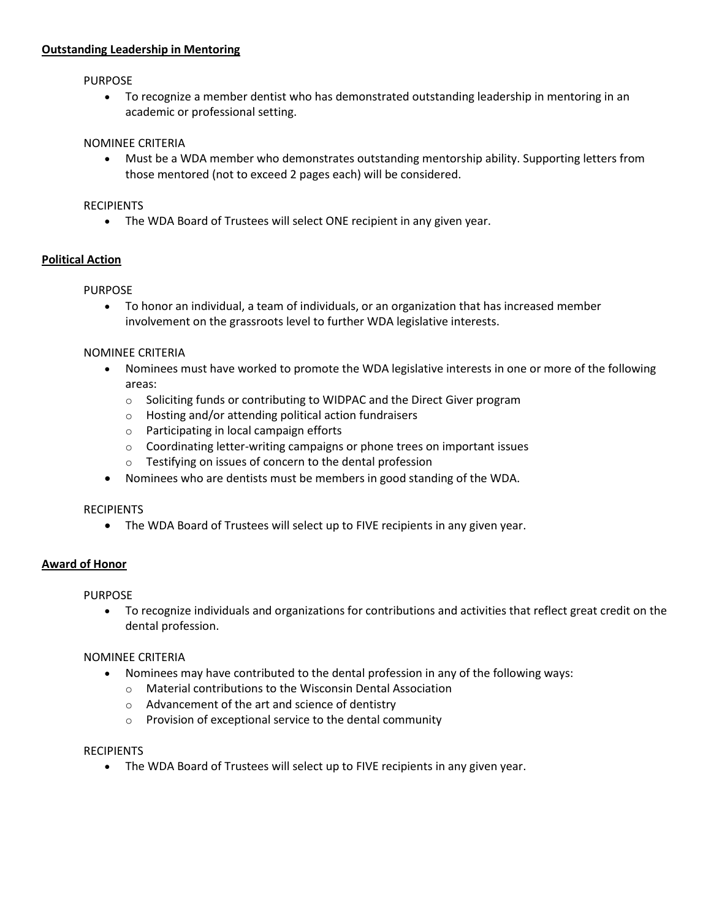#### **Outstanding Leadership in Mentoring**

#### PURPOSE

 To recognize a member dentist who has demonstrated outstanding leadership in mentoring in an academic or professional setting.

#### NOMINEE CRITERIA

 Must be a WDA member who demonstrates outstanding mentorship ability. Supporting letters from those mentored (not to exceed 2 pages each) will be considered.

#### RECIPIENTS

The WDA Board of Trustees will select ONE recipient in any given year.

## **Political Action**

#### PURPOSE

 To honor an individual, a team of individuals, or an organization that has increased member involvement on the grassroots level to further WDA legislative interests.

#### NOMINEE CRITERIA

- Nominees must have worked to promote the WDA legislative interests in one or more of the following areas:
	- o Soliciting funds or contributing to WIDPAC and the Direct Giver program
	- o Hosting and/or attending political action fundraisers
	- o Participating in local campaign efforts
	- o Coordinating letter-writing campaigns or phone trees on important issues
	- o Testifying on issues of concern to the dental profession
- Nominees who are dentists must be members in good standing of the WDA.

## **RECIPIENTS**

The WDA Board of Trustees will select up to FIVE recipients in any given year.

## **Award of Honor**

PURPOSE

 To recognize individuals and organizations for contributions and activities that reflect great credit on the dental profession.

## NOMINEE CRITERIA

- Nominees may have contributed to the dental profession in any of the following ways:
	- o Material contributions to the Wisconsin Dental Association
	- o Advancement of the art and science of dentistry
	- o Provision of exceptional service to the dental community

#### RECIPIENTS

The WDA Board of Trustees will select up to FIVE recipients in any given year.